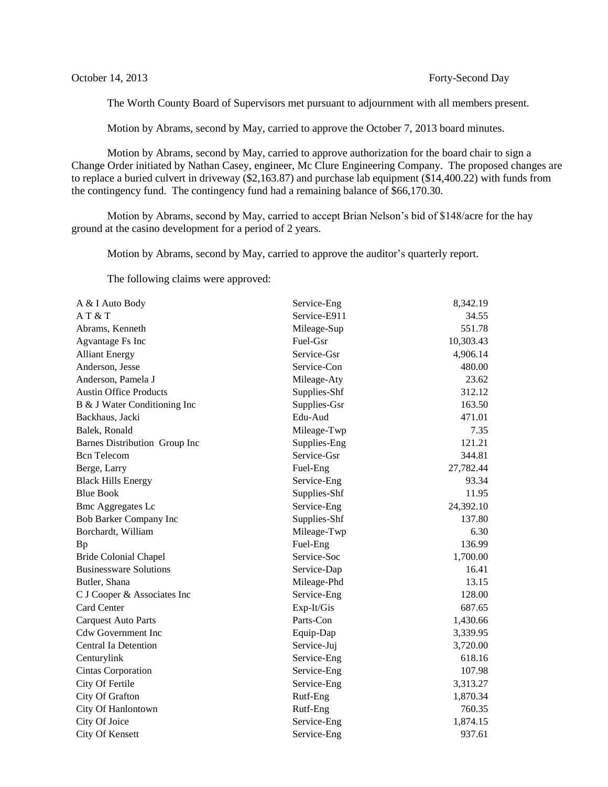The Worth County Board of Supervisors met pursuant to adjournment with all members present.

Motion by Abrams, second by May, carried to approve the October 7, 2013 board minutes.

Motion by Abrams, second by May, carried to approve authorization for the board chair to sign a Change Order initiated by Nathan Casey, engineer, Mc Clure Engineering Company. The proposed changes are to replace a buried culvert in driveway (\$2,163.87) and purchase lab equipment (\$14,400.22) with funds from the contingency fund. The contingency fund had a remaining balance of \$66,170.30.

Motion by Abrams, second by May, carried to accept Brian Nelson's bid of \$148/acre for the hay ground at the casino development for a period of 2 years.

Motion by Abrams, second by May, carried to approve the auditor's quarterly report.

The following claims were approved:

| A & I Auto Body               | Service-Eng  | 8,342.19  |
|-------------------------------|--------------|-----------|
| AT&T                          | Service-E911 | 34.55     |
| Abrams, Kenneth               | Mileage-Sup  | 551.78    |
| Agvantage Fs Inc              | Fuel-Gsr     | 10,303.43 |
| <b>Alliant Energy</b>         | Service-Gsr  | 4,906.14  |
| Anderson, Jesse               | Service-Con  | 480.00    |
| Anderson, Pamela J            | Mileage-Aty  | 23.62     |
| <b>Austin Office Products</b> | Supplies-Shf | 312.12    |
| B & J Water Conditioning Inc  | Supplies-Gsr | 163.50    |
| Backhaus, Jacki               | Edu-Aud      | 471.01    |
| Balek, Ronald                 | Mileage-Twp  | 7.35      |
| Barnes Distribution Group Inc | Supplies-Eng | 121.21    |
| <b>Bcn</b> Telecom            | Service-Gsr  | 344.81    |
| Berge, Larry                  | Fuel-Eng     | 27,782.44 |
| <b>Black Hills Energy</b>     | Service-Eng  | 93.34     |
| <b>Blue Book</b>              | Supplies-Shf | 11.95     |
| <b>Bmc Aggregates Lc</b>      | Service-Eng  | 24,392.10 |
| Bob Barker Company Inc        | Supplies-Shf | 137.80    |
| Borchardt, William            | Mileage-Twp  | 6.30      |
| <b>Bp</b>                     | Fuel-Eng     | 136.99    |
| <b>Bride Colonial Chapel</b>  | Service-Soc  | 1,700.00  |
| <b>Businessware Solutions</b> | Service-Dap  | 16.41     |
| Butler, Shana                 | Mileage-Phd  | 13.15     |
| C J Cooper & Associates Inc   | Service-Eng  | 128.00    |
| Card Center                   | Exp-It/Gis   | 687.65    |
| <b>Carquest Auto Parts</b>    | Parts-Con    | 1,430.66  |
| <b>Cdw Government Inc</b>     | Equip-Dap    | 3,339.95  |
| Central Ia Detention          | Service-Juj  | 3,720.00  |
| Centurylink                   | Service-Eng  | 618.16    |
| Cintas Corporation            | Service-Eng  | 107.98    |
| City Of Fertile               | Service-Eng  | 3,313.27  |
| City Of Grafton               | Rutf-Eng     | 1,870.34  |
| City Of Hanlontown            | Rutf-Eng     | 760.35    |
| City Of Joice                 | Service-Eng  | 1,874.15  |
| City Of Kensett               | Service-Eng  | 937.61    |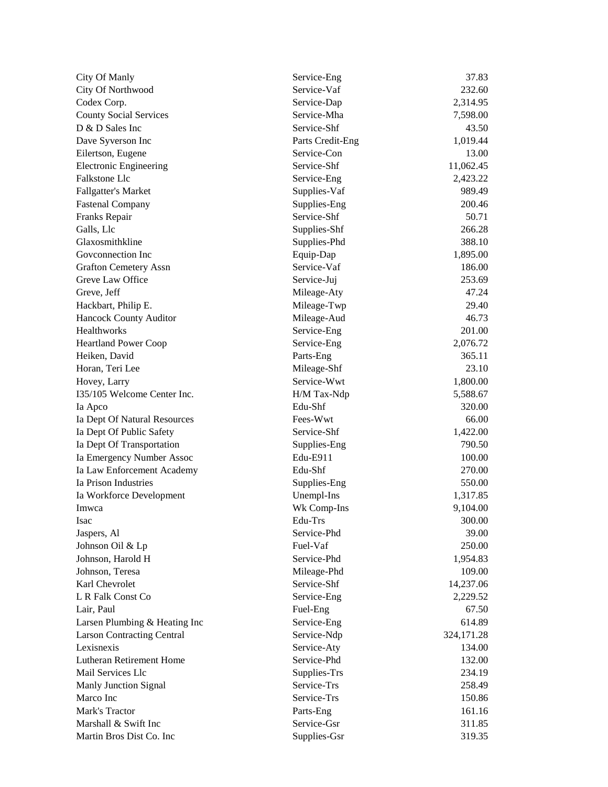| City Of Manly                     | Service-Eng      | 37.83             |
|-----------------------------------|------------------|-------------------|
| City Of Northwood                 | Service-Vaf      | 232.60            |
| Codex Corp.                       | Service-Dap      | 2,314.95          |
| <b>County Social Services</b>     | Service-Mha      | 7,598.00          |
| D & D Sales Inc                   | Service-Shf      | 43.50             |
| Dave Syverson Inc                 | Parts Credit-Eng | 1,019.44          |
| Eilertson, Eugene                 | Service-Con      | 13.00             |
| <b>Electronic Engineering</b>     | Service-Shf      | 11,062.45         |
| <b>Falkstone Llc</b>              | Service-Eng      | 2,423.22          |
| <b>Fallgatter's Market</b>        | Supplies-Vaf     | 989.49            |
| <b>Fastenal Company</b>           | Supplies-Eng     | 200.46            |
| Franks Repair                     | Service-Shf      | 50.71             |
| Galls, Llc                        | Supplies-Shf     | 266.28            |
| Glaxosmithkline                   | Supplies-Phd     | 388.10            |
| Goveonnection Inc                 | Equip-Dap        | 1,895.00          |
| <b>Grafton Cemetery Assn</b>      | Service-Vaf      | 186.00            |
| Greve Law Office                  | Service-Juj      | 253.69            |
| Greve, Jeff                       | Mileage-Aty      | 47.24             |
| Hackbart, Philip E.               | Mileage-Twp      | 29.40             |
| <b>Hancock County Auditor</b>     | Mileage-Aud      | 46.73             |
| Healthworks                       | Service-Eng      | 201.00            |
| <b>Heartland Power Coop</b>       | Service-Eng      | 2,076.72          |
| Heiken, David                     | Parts-Eng        | 365.11            |
| Horan, Teri Lee                   | Mileage-Shf      | 23.10             |
| Hovey, Larry                      | Service-Wwt      | 1,800.00          |
| 135/105 Welcome Center Inc.       | H/M Tax-Ndp      | 5,588.67          |
| Ia Apco                           | Edu-Shf          | 320.00            |
| Ia Dept Of Natural Resources      | Fees-Wwt         | 66.00             |
| Ia Dept Of Public Safety          | Service-Shf      | 1,422.00          |
| Ia Dept Of Transportation         | Supplies-Eng     | 790.50            |
| Ia Emergency Number Assoc         | Edu-E911         | 100.00            |
| Ia Law Enforcement Academy        | Edu-Shf          | 270.00            |
| Ia Prison Industries              | Supplies-Eng     | 550.00            |
| Ia Workforce Development          | Unempl-Ins       | 1,317.85          |
| Imwca                             | Wk Comp-Ins      | 9,104.00          |
| <b>Isac</b>                       | Edu-Trs          | 300.00            |
| Jaspers, Al                       | Service-Phd      | 39.00             |
| Johnson Oil & Lp                  | Fuel-Vaf         | 250.00            |
| Johnson, Harold H                 | Service-Phd      | 1,954.83          |
| Johnson, Teresa                   | Mileage-Phd      | 109.00            |
| Karl Chevrolet                    | Service-Shf      | 14,237.06         |
| L R Falk Const Co                 | Service-Eng      |                   |
|                                   |                  | 2,229.52<br>67.50 |
| Lair, Paul                        | Fuel-Eng         |                   |
| Larsen Plumbing & Heating Inc     | Service-Eng      | 614.89            |
| <b>Larson Contracting Central</b> | Service-Ndp      | 324, 171.28       |
| Lexisnexis                        | Service-Aty      | 134.00            |
| Lutheran Retirement Home          | Service-Phd      | 132.00            |
| Mail Services Llc                 | Supplies-Trs     | 234.19            |
| Manly Junction Signal             | Service-Trs      | 258.49            |
| Marco Inc                         | Service-Trs      | 150.86            |
| Mark's Tractor                    | Parts-Eng        | 161.16            |
| Marshall & Swift Inc              | Service-Gsr      | 311.85            |
| Martin Bros Dist Co. Inc          | Supplies-Gsr     | 319.35            |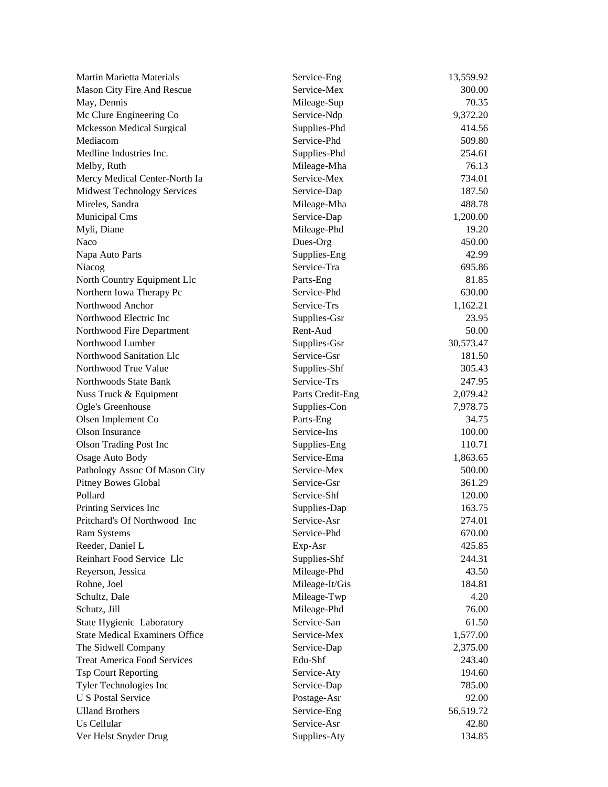| Martin Marietta Materials             | Service-Eng      | 13,559.92 |
|---------------------------------------|------------------|-----------|
| Mason City Fire And Rescue            | Service-Mex      | 300.00    |
| May, Dennis                           | Mileage-Sup      | 70.35     |
| Mc Clure Engineering Co               | Service-Ndp      | 9,372.20  |
| <b>Mckesson Medical Surgical</b>      | Supplies-Phd     | 414.56    |
| Mediacom                              | Service-Phd      | 509.80    |
| Medline Industries Inc.               | Supplies-Phd     | 254.61    |
| Melby, Ruth                           | Mileage-Mha      | 76.13     |
| Mercy Medical Center-North Ia         | Service-Mex      | 734.01    |
| <b>Midwest Technology Services</b>    | Service-Dap      | 187.50    |
| Mireles, Sandra                       | Mileage-Mha      | 488.78    |
| Municipal Cms                         | Service-Dap      | 1,200.00  |
| Myli, Diane                           | Mileage-Phd      | 19.20     |
| Naco                                  | Dues-Org         | 450.00    |
| Napa Auto Parts                       | Supplies-Eng     | 42.99     |
| Niacog                                | Service-Tra      | 695.86    |
| North Country Equipment Llc           | Parts-Eng        | 81.85     |
| Northern Iowa Therapy Pc              | Service-Phd      | 630.00    |
| Northwood Anchor                      | Service-Trs      | 1,162.21  |
| Northwood Electric Inc                | Supplies-Gsr     | 23.95     |
| Northwood Fire Department             | Rent-Aud         | 50.00     |
| Northwood Lumber                      | Supplies-Gsr     | 30,573.47 |
| Northwood Sanitation Llc              | Service-Gsr      | 181.50    |
| Northwood True Value                  | Supplies-Shf     | 305.43    |
| Northwoods State Bank                 | Service-Trs      | 247.95    |
| Nuss Truck & Equipment                | Parts Credit-Eng | 2,079.42  |
| Ogle's Greenhouse                     | Supplies-Con     | 7,978.75  |
| Olsen Implement Co                    | Parts-Eng        | 34.75     |
| Olson Insurance                       | Service-Ins      | 100.00    |
| <b>Olson Trading Post Inc</b>         | Supplies-Eng     | 110.71    |
| Osage Auto Body                       | Service-Ema      | 1,863.65  |
|                                       | Service-Mex      |           |
| Pathology Assoc Of Mason City         |                  | 500.00    |
| <b>Pitney Bowes Global</b><br>Pollard | Service-Gsr      | 361.29    |
|                                       | Service-Shf      | 120.00    |
| Printing Services Inc                 | Supplies-Dap     | 163.75    |
| Pritchard's Of Northwood Inc          | Service-Asr      | 274.01    |
| <b>Ram Systems</b>                    | Service-Phd      | 670.00    |
| Reeder, Daniel L                      | Exp-Asr          | 425.85    |
| Reinhart Food Service Llc             | Supplies-Shf     | 244.31    |
| Reyerson, Jessica                     | Mileage-Phd      | 43.50     |
| Rohne, Joel                           | Mileage-It/Gis   | 184.81    |
| Schultz, Dale                         | Mileage-Twp      | 4.20      |
| Schutz, Jill                          | Mileage-Phd      | 76.00     |
| State Hygienic Laboratory             | Service-San      | 61.50     |
| <b>State Medical Examiners Office</b> | Service-Mex      | 1,577.00  |
| The Sidwell Company                   | Service-Dap      | 2,375.00  |
| <b>Treat America Food Services</b>    | Edu-Shf          | 243.40    |
| <b>Tsp Court Reporting</b>            | Service-Aty      | 194.60    |
| Tyler Technologies Inc                | Service-Dap      | 785.00    |
| <b>U S Postal Service</b>             | Postage-Asr      | 92.00     |
| <b>Ulland Brothers</b>                | Service-Eng      | 56,519.72 |
| Us Cellular                           | Service-Asr      | 42.80     |
| Ver Helst Snyder Drug                 | Supplies-Aty     | 134.85    |